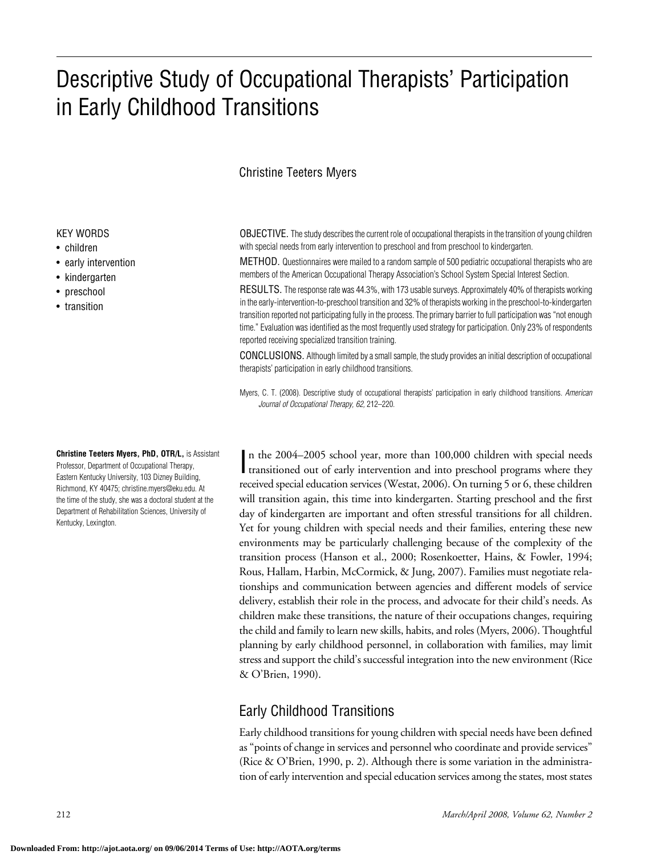# Descriptive Study of Occupational Therapists' Participation in Early Childhood Transitions

## Christine Teeters Myers

#### KEY WORDS

- children
- early intervention
- kindergarten
- preschool
- transition

**Christine Teeters Myers, PhD, OTR/L,** is Assistant Professor, Department of Occupational Therapy, Eastern Kentucky University, 103 Dizney Building, Richmond, KY 40475; christine.myers@eku.edu. At the time of the study, she was a doctoral student at the Department of Rehabilitation Sciences, University of Kentucky, Lexington.

OBJECTIVE. The study describes the current role of occupational therapists in the transition of young children with special needs from early intervention to preschool and from preschool to kindergarten.

METHOD. Questionnaires were mailed to a random sample of 500 pediatric occupational therapists who are members of the American Occupational Therapy Association's School System Special Interest Section.

RESULTS. The response rate was 44.3%, with 173 usable surveys. Approximately 40% of therapists working in the early-intervention-to-preschool transition and 32% of therapists working in the preschool-to-kindergarten transition reported not participating fully in the process. The primary barrier to full participation was "not enough time." Evaluation was identified as the most frequently used strategy for participation. Only 23% of respondents reported receiving specialized transition training.

CONCLUSIONS. Although limited by a small sample, the study provides an initial description of occupational therapists' participation in early childhood transitions.

Myers, C. T. (2008). Descriptive study of occupational therapists' participation in early childhood transitions. *American Journal of Occupational Therapy, 62,* 212–220.

In the 2004–2005 school year, more than 100,000 children with special needs<br>transitioned out of early intervention and into preschool programs where they n the 2004–2005 school year, more than 100,000 children with special needs received special education services (Westat, 2006). On turning 5 or 6, these children will transition again, this time into kindergarten. Starting preschool and the first day of kindergarten are important and often stressful transitions for all children. Yet for young children with special needs and their families, entering these new environments may be particularly challenging because of the complexity of the transition process (Hanson et al., 2000; Rosenkoetter, Hains, & Fowler, 1994; Rous, Hallam, Harbin, McCormick, & Jung, 2007). Families must negotiate relationships and communication between agencies and different models of service delivery, establish their role in the process, and advocate for their child's needs. As children make these transitions, the nature of their occupations changes, requiring the child and family to learn new skills, habits, and roles (Myers, 2006). Thoughtful planning by early childhood personnel, in collaboration with families, may limit stress and support the child's successful integration into the new environment (Rice & O'Brien, 1990).

# Early Childhood Transitions

Early childhood transitions for young children with special needs have been defined as "points of change in services and personnel who coordinate and provide services" (Rice & O'Brien, 1990, p. 2). Although there is some variation in the administration of early intervention and special education services among the states, most states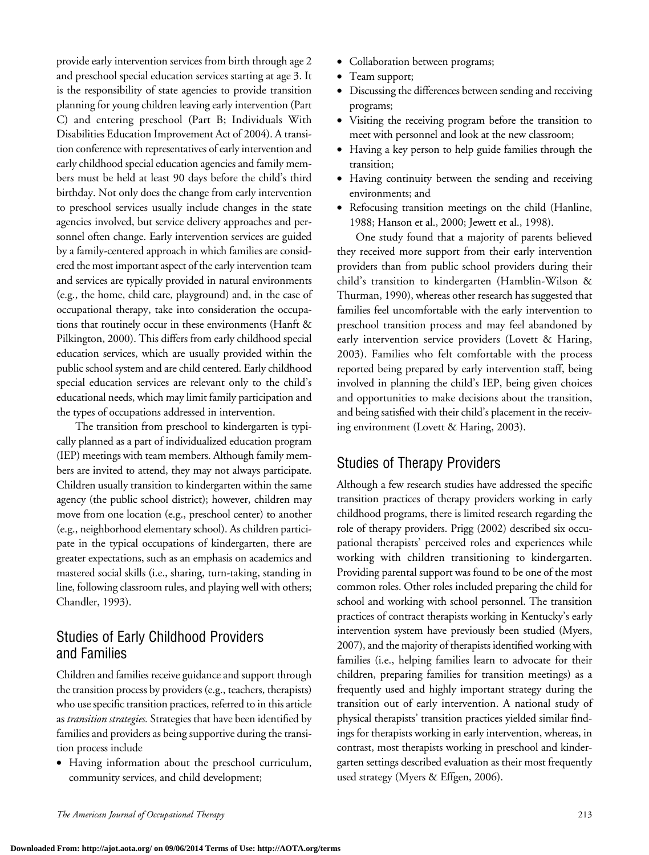provide early intervention services from birth through age 2 and preschool special education services starting at age 3. It is the responsibility of state agencies to provide transition planning for young children leaving early intervention (Part C) and entering preschool (Part B; Individuals With Disabilities Education Improvement Act of 2004). A transition conference with representatives of early intervention and early childhood special education agencies and family members must be held at least 90 days before the child's third birthday. Not only does the change from early intervention to preschool services usually include changes in the state agencies involved, but service delivery approaches and personnel often change. Early intervention services are guided by a family-centered approach in which families are considered the most important aspect of the early intervention team and services are typically provided in natural environments (e.g., the home, child care, playground) and, in the case of occupational therapy, take into consideration the occupations that routinely occur in these environments (Hanft & Pilkington, 2000). This differs from early childhood special education services, which are usually provided within the public school system and are child centered. Early childhood special education services are relevant only to the child's educational needs, which may limit family participation and the types of occupations addressed in intervention.

The transition from preschool to kindergarten is typically planned as a part of individualized education program (IEP) meetings with team members. Although family members are invited to attend, they may not always participate. Children usually transition to kindergarten within the same agency (the public school district); however, children may move from one location (e.g., preschool center) to another (e.g., neighborhood elementary school). As children participate in the typical occupations of kindergarten, there are greater expectations, such as an emphasis on academics and mastered social skills (i.e., sharing, turn-taking, standing in line, following classroom rules, and playing well with others; Chandler, 1993).

# Studies of Early Childhood Providers and Families

Children and families receive guidance and support through the transition process by providers (e.g., teachers, therapists) who use specific transition practices, referred to in this article as *transition strategies.* Strategies that have been identified by families and providers as being supportive during the transition process include

• Having information about the preschool curriculum, community services, and child development;

- Collaboration between programs;
- Team support;
- Discussing the differences between sending and receiving programs;
- • Visiting the receiving program before the transition to meet with personnel and look at the new classroom;
- Having a key person to help guide families through the transition;
- Having continuity between the sending and receiving environments; and
- Refocusing transition meetings on the child (Hanline, 1988; Hanson et al., 2000; Jewett et al., 1998).

One study found that a majority of parents believed they received more support from their early intervention providers than from public school providers during their child's transition to kindergarten (Hamblin-Wilson & Thurman, 1990), whereas other research has suggested that families feel uncomfortable with the early intervention to preschool transition process and may feel abandoned by early intervention service providers (Lovett & Haring, 2003). Families who felt comfortable with the process reported being prepared by early intervention staff, being involved in planning the child's IEP, being given choices and opportunities to make decisions about the transition, and being satisfied with their child's placement in the receiving environment (Lovett & Haring, 2003).

# Studies of Therapy Providers

Although a few research studies have addressed the specific transition practices of therapy providers working in early childhood programs, there is limited research regarding the role of therapy providers. Prigg (2002) described six occupational therapists' perceived roles and experiences while working with children transitioning to kindergarten. Providing parental support was found to be one of the most common roles. Other roles included preparing the child for school and working with school personnel. The transition practices of contract therapists working in Kentucky's early intervention system have previously been studied (Myers, 2007), and the majority of therapists identified working with families (i.e., helping families learn to advocate for their children, preparing families for transition meetings) as a frequently used and highly important strategy during the transition out of early intervention. A national study of physical therapists' transition practices yielded similar findings for therapists working in early intervention, whereas, in contrast, most therapists working in preschool and kindergarten settings described evaluation as their most frequently used strategy (Myers & Effgen, 2006).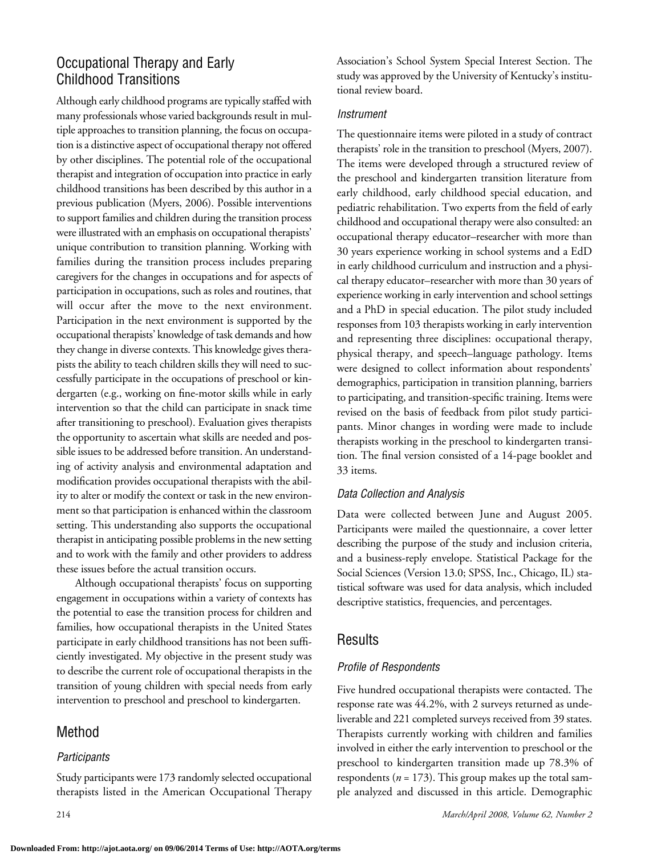# Occupational Therapy and Early Childhood Transitions

Although early childhood programs are typically staffed with many professionals whose varied backgrounds result in multiple approaches to transition planning, the focus on occupation is a distinctive aspect of occupational therapy not offered by other disciplines. The potential role of the occupational therapist and integration of occupation into practice in early childhood transitions has been described by this author in a previous publication (Myers, 2006). Possible interventions to support families and children during the transition process were illustrated with an emphasis on occupational therapists' unique contribution to transition planning. Working with families during the transition process includes preparing caregivers for the changes in occupations and for aspects of participation in occupations, such as roles and routines, that will occur after the move to the next environment. Participation in the next environment is supported by the occupational therapists' knowledge of task demands and how they change in diverse contexts. This knowledge gives therapists the ability to teach children skills they will need to successfully participate in the occupations of preschool or kindergarten (e.g., working on fine-motor skills while in early intervention so that the child can participate in snack time after transitioning to preschool). Evaluation gives therapists the opportunity to ascertain what skills are needed and possible issues to be addressed before transition. An understanding of activity analysis and environmental adaptation and modification provides occupational therapists with the ability to alter or modify the context or task in the new environment so that participation is enhanced within the classroom setting. This understanding also supports the occupational therapist in anticipating possible problems in the new setting and to work with the family and other providers to address these issues before the actual transition occurs.

Although occupational therapists' focus on supporting engagement in occupations within a variety of contexts has the potential to ease the transition process for children and families, how occupational therapists in the United States participate in early childhood transitions has not been sufficiently investigated. My objective in the present study was to describe the current role of occupational therapists in the transition of young children with special needs from early intervention to preschool and preschool to kindergarten.

# Method

### *Participants*

Study participants were 173 randomly selected occupational therapists listed in the American Occupational Therapy Association's School System Special Interest Section. The study was approved by the University of Kentucky's institutional review board.

### *Instrument*

The questionnaire items were piloted in a study of contract therapists' role in the transition to preschool (Myers, 2007). The items were developed through a structured review of the preschool and kindergarten transition literature from early childhood, early childhood special education, and pediatric rehabilitation. Two experts from the field of early childhood and occupational therapy were also consulted: an occupational therapy educator–researcher with more than 30 years experience working in school systems and a EdD in early childhood curriculum and instruction and a physical therapy educator–researcher with more than 30 years of experience working in early intervention and school settings and a PhD in special education. The pilot study included responses from 103 therapists working in early intervention and representing three disciplines: occupational therapy, physical therapy, and speech–language pathology. Items were designed to collect information about respondents' demographics, participation in transition planning, barriers to participating, and transition-specific training. Items were revised on the basis of feedback from pilot study participants. Minor changes in wording were made to include therapists working in the preschool to kindergarten transition. The final version consisted of a 14-page booklet and 33 items.

### *Data Collection and Analysis*

Data were collected between June and August 2005. Participants were mailed the questionnaire, a cover letter describing the purpose of the study and inclusion criteria, and a business-reply envelope. Statistical Package for the Social Sciences (Version 13.0; SPSS, Inc., Chicago, IL) statistical software was used for data analysis, which included descriptive statistics, frequencies, and percentages.

# Results

# *Profile of Respondents*

Five hundred occupational therapists were contacted. The response rate was 44.2%, with 2 surveys returned as undeliverable and 221 completed surveys received from 39 states. Therapists currently working with children and families involved in either the early intervention to preschool or the preschool to kindergarten transition made up 78.3% of respondents ( $n = 173$ ). This group makes up the total sample analyzed and discussed in this article. Demographic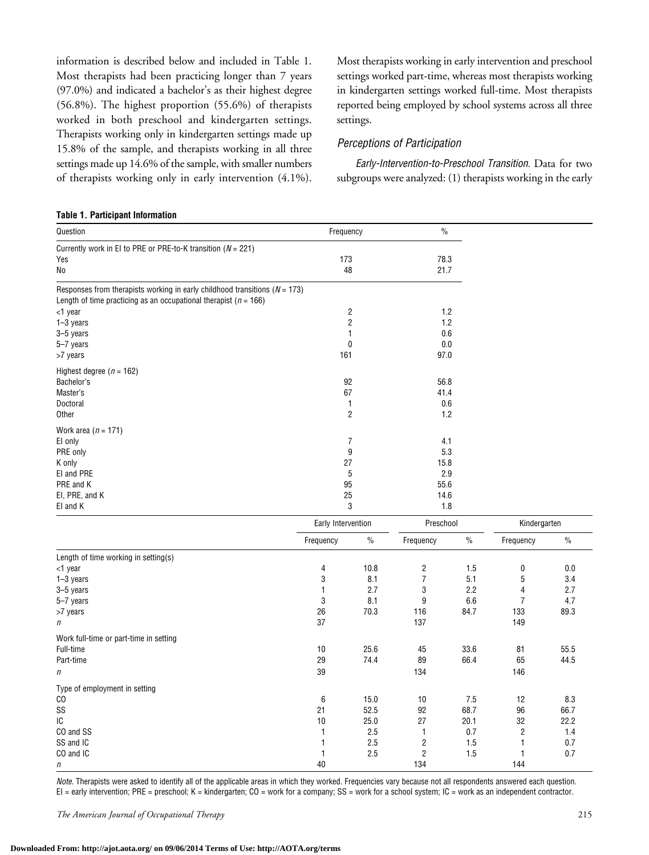information is described below and included in Table 1. Most therapists had been practicing longer than 7 years (97.0%) and indicated a bachelor's as their highest degree (56.8%). The highest proportion (55.6%) of therapists worked in both preschool and kindergarten settings. Therapists working only in kindergarten settings made up 15.8% of the sample, and therapists working in all three settings made up 14.6% of the sample, with smaller numbers of therapists working only in early intervention (4.1%).

Most therapists working in early intervention and preschool settings worked part-time, whereas most therapists working in kindergarten settings worked full-time. Most therapists reported being employed by school systems across all three settings.

#### *Perceptions of Participation*

*Early-Intervention-to-Preschool Transition.* Data for two subgroups were analyzed:  $(1)$  therapists working in the early

#### **Table 1. Participant Information**

| Question                                                                                                                                               | Frequency          |                | $\frac{0}{0}$           |         |                |      |
|--------------------------------------------------------------------------------------------------------------------------------------------------------|--------------------|----------------|-------------------------|---------|----------------|------|
| Currently work in EI to PRE or PRE-to-K transition ( $N = 221$ )                                                                                       |                    |                |                         |         |                |      |
| Yes                                                                                                                                                    | 173                |                | 78.3                    |         |                |      |
| No                                                                                                                                                     | 48                 |                | 21.7                    |         |                |      |
| Responses from therapists working in early childhood transitions ( $N = 173$ )<br>Length of time practicing as an occupational therapist ( $n = 166$ ) |                    |                |                         |         |                |      |
| <1 year                                                                                                                                                |                    | 2              | 1.2                     |         |                |      |
| 1-3 years                                                                                                                                              |                    | 2              | 1.2                     |         |                |      |
| 3-5 years                                                                                                                                              |                    | 1              | 0.6                     |         |                |      |
| 5-7 years                                                                                                                                              |                    | 0              |                         | $0.0\,$ |                |      |
| >7 years                                                                                                                                               | 161                |                | 97.0                    |         |                |      |
| Highest degree ( $n = 162$ )                                                                                                                           |                    |                |                         |         |                |      |
| Bachelor's                                                                                                                                             | 92                 |                | 56.8                    |         |                |      |
| Master's                                                                                                                                               | 67                 |                | 41.4                    |         |                |      |
| Doctoral                                                                                                                                               |                    | $\mathbf{1}$   | 0.6                     |         |                |      |
| Other                                                                                                                                                  |                    | $\overline{2}$ | 1.2                     |         |                |      |
| Work area $(n = 171)$                                                                                                                                  |                    |                |                         |         |                |      |
| EI only                                                                                                                                                | 7                  |                | 4.1                     |         |                |      |
| PRE only                                                                                                                                               |                    | 9              | 5.3                     |         |                |      |
| K only                                                                                                                                                 | 27<br>5<br>95      |                | 15.8                    |         |                |      |
| EI and PRE                                                                                                                                             |                    |                | 2.9                     |         |                |      |
| PRE and K                                                                                                                                              |                    |                | 55.6                    |         |                |      |
| EI, PRE, and K                                                                                                                                         | 25                 |                | 14.6                    |         |                |      |
| El and K                                                                                                                                               | 3<br>1.8           |                |                         |         |                |      |
|                                                                                                                                                        | Early Intervention |                | Preschool               |         | Kindergarten   |      |
|                                                                                                                                                        | Frequency          | $\%$           | Frequency               | $\%$    | Frequency      | $\%$ |
| Length of time working in setting(s)                                                                                                                   |                    |                |                         |         |                |      |
| <1 year                                                                                                                                                | 4                  | 10.8           | $\overline{\mathbf{c}}$ | 1.5     | 0              | 0.0  |
| 1-3 years                                                                                                                                              | 3                  | 8.1            | $\overline{7}$          | 5.1     | 5              | 3.4  |
| 3-5 years                                                                                                                                              | $\mathbf{1}$       | 2.7            | 3                       | 2.2     | 4              | 2.7  |
| 5-7 years                                                                                                                                              | 3                  | 8.1            | 9                       | 6.6     | $\overline{7}$ | 4.7  |
| >7 years                                                                                                                                               | 26                 | 70.3           | 116                     | 84.7    | 133            | 89.3 |
| n                                                                                                                                                      | 37                 |                | 137                     |         | 149            |      |
| Work full-time or part-time in setting                                                                                                                 |                    |                |                         |         |                |      |
| Full-time                                                                                                                                              | $10$               | 25.6           | 45                      | 33.6    | 81             | 55.5 |
| Part-time                                                                                                                                              | 29                 | 74.4           | 89                      | 66.4    | 65             | 44.5 |
| п                                                                                                                                                      | 39                 |                | 134                     |         | 146            |      |
| Type of employment in setting                                                                                                                          |                    |                |                         |         |                |      |
| C <sub>0</sub>                                                                                                                                         | 6                  | 15.0           | 10                      | 7.5     | 12             | 8.3  |
| SS                                                                                                                                                     | 21                 | 52.5           | 92                      | 68.7    | 96             | 66.7 |

*Note.* Therapists were asked to identify all of the applicable areas in which they worked. Frequencies vary because not all respondents answered each question.  $El =$  early intervention; PRE = preschool; K = kindergarten; CO = work for a company; SS = work for a school system; IC = work as an independent contractor.

*n* 144

 $10$  25.0 27 20.1 32 22.2 CO and SS 2.5 1 0.7 2 1.4 SS and IC 2.5 2 1.5 1 0.7 CO and IC 2.5 2 1.5 1 0.7

*The American Journal of Occupational Therapy* 215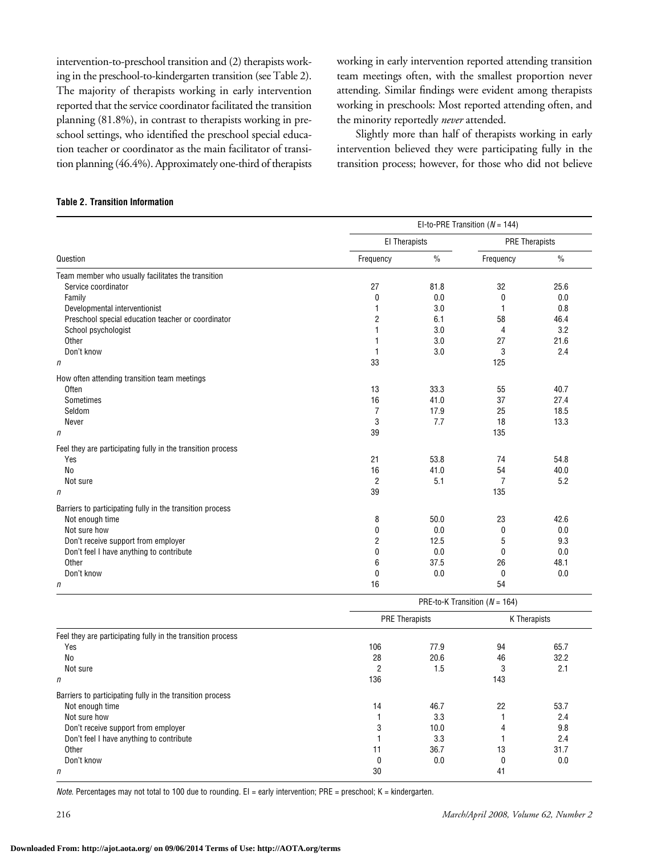intervention-to-preschool transition and (2) therapists working in the preschool-to-kindergarten transition (see Table 2). The majority of therapists working in early intervention reported that the service coordinator facilitated the transition planning (81.8%), in contrast to therapists working in preschool settings, who identified the preschool special education teacher or coordinator as the main facilitator of transition planning (46.4%). Approximately one-third of therapists working in early intervention reported attending transition team meetings often, with the smallest proportion never attending. Similar findings were evident among therapists working in preschools: Most reported attending often, and the minority reportedly *never* attended.

Slightly more than half of therapists working in early intervention believed they were participating fully in the transition process; however, for those who did not believe

#### **Table 2. Transition Information**

|                                                             | El-to-PRE Transition ( $N = 144$ ) |               |                                             |               |  |  |  |
|-------------------------------------------------------------|------------------------------------|---------------|---------------------------------------------|---------------|--|--|--|
|                                                             |                                    | El Therapists |                                             |               |  |  |  |
| Question                                                    | Frequency                          | $\%$          | Frequency                                   | $\frac{0}{0}$ |  |  |  |
| Team member who usually facilitates the transition          |                                    |               |                                             |               |  |  |  |
| Service coordinator                                         | 27                                 | 81.8          | 32                                          | 25.6          |  |  |  |
| Family                                                      | 0                                  | 0.0           | 0                                           | 0.0           |  |  |  |
| Developmental interventionist                               | 1                                  | 3.0           | $\mathbf{1}$                                | 0.8           |  |  |  |
| Preschool special education teacher or coordinator          | $\overline{2}$                     | 6.1           | 58                                          | 46.4          |  |  |  |
| School psychologist                                         | $\mathbf{1}$                       | 3.0           | 4                                           | 3.2           |  |  |  |
| Other                                                       |                                    | 3.0           | 27                                          | 21.6          |  |  |  |
| Don't know                                                  | 1                                  | 3.0           | 3                                           | 2.4           |  |  |  |
| $\eta$                                                      | 33                                 |               | 125                                         |               |  |  |  |
| How often attending transition team meetings                |                                    |               |                                             |               |  |  |  |
| Often                                                       | 13                                 | 33.3          | 55                                          | 40.7          |  |  |  |
| Sometimes                                                   | 16                                 | 41.0          | 37                                          | 27.4          |  |  |  |
| Seldom                                                      | $\overline{7}$                     | 17.9          | 25                                          | 18.5          |  |  |  |
| Never                                                       | 3                                  | 7.7           | 18                                          | 13.3          |  |  |  |
| n                                                           | 39                                 |               | 135                                         |               |  |  |  |
| Feel they are participating fully in the transition process |                                    |               |                                             |               |  |  |  |
| Yes                                                         | 21                                 | 53.8          | 74                                          | 54.8          |  |  |  |
| N <sub>0</sub>                                              | 16                                 | 41.0          | 54                                          | 40.0          |  |  |  |
| Not sure                                                    | $\overline{2}$                     | 5.1           | 7                                           | 5.2           |  |  |  |
| $\eta$                                                      | 39                                 |               | 135                                         |               |  |  |  |
| Barriers to participating fully in the transition process   |                                    |               |                                             |               |  |  |  |
| Not enough time                                             | 8                                  | 50.0          | 23                                          | 42.6          |  |  |  |
| Not sure how                                                | 0                                  | 0.0           | 0                                           | 0.0           |  |  |  |
| Don't receive support from employer                         | 2                                  | 12.5          | 5                                           | 9.3           |  |  |  |
| Don't feel I have anything to contribute                    | $\Omega$                           | 0.0           | 0                                           | 0.0           |  |  |  |
| Other                                                       | 6                                  | 37.5          | 26                                          | 48.1          |  |  |  |
| Don't know                                                  | $\mathbf{0}$                       | 0.0           | 0                                           | 0.0           |  |  |  |
| n                                                           | 16                                 |               | 54                                          |               |  |  |  |
|                                                             |                                    |               | $DDF_{4a}$ <i>V</i> Transition $(11 - 404)$ |               |  |  |  |

|                                                             | PRE-10-K Transition ( $N = 104$ ) |      |              |      |  |
|-------------------------------------------------------------|-----------------------------------|------|--------------|------|--|
|                                                             | <b>PRE Therapists</b>             |      | K Therapists |      |  |
| Feel they are participating fully in the transition process |                                   |      |              |      |  |
| Yes                                                         | 106                               | 77.9 | 94           | 65.7 |  |
| No                                                          | 28                                | 20.6 | 46           | 32.2 |  |
| Not sure                                                    | 2                                 | 1.5  | 3            | 2.1  |  |
| n                                                           | 136                               |      | 143          |      |  |
| Barriers to participating fully in the transition process   |                                   |      |              |      |  |
| Not enough time                                             | 14                                | 46.7 | 22           | 53.7 |  |
| Not sure how                                                |                                   | 3.3  |              | 2.4  |  |
| Don't receive support from employer                         | 3                                 | 10.0 | 4            | 9.8  |  |
| Don't feel I have anything to contribute                    |                                   | 3.3  |              | 2.4  |  |
| Other                                                       | 11                                | 36.7 | 13           | 31.7 |  |
| Don't know                                                  |                                   | 0.0  |              | 0.0  |  |
| n                                                           | 30                                |      | 41           |      |  |

*Note.* Percentages may not total to 100 due to rounding. EI = early intervention; PRE = preschool; K = kindergarten.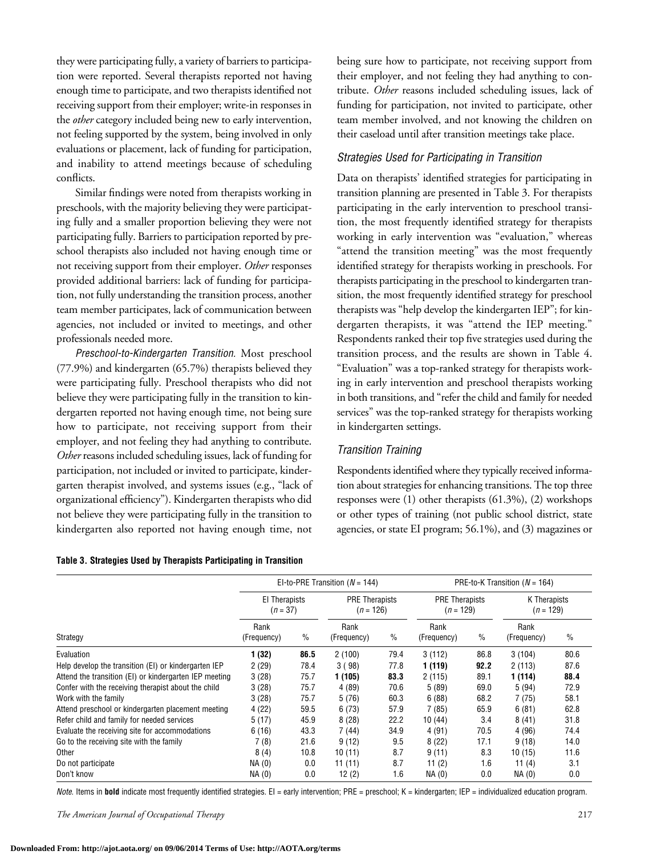they were participating fully, a variety of barriers to participation were reported. Several therapists reported not having enough time to participate, and two therapists identified not receiving support from their employer; write-in responses in the *other* category included being new to early intervention, not feeling supported by the system, being involved in only evaluations or placement, lack of funding for participation, and inability to attend meetings because of scheduling conflicts.

Similar findings were noted from therapists working in preschools, with the majority believing they were participating fully and a smaller proportion believing they were not participating fully. Barriers to participation reported by preschool therapists also included not having enough time or not receiving support from their employer. *Other* responses provided additional barriers: lack of funding for participation, not fully understanding the transition process, another team member participates, lack of communication between agencies, not included or invited to meetings, and other professionals needed more.

*Preschool-to-Kindergarten Transition.* Most preschool (77.9%) and kindergarten (65.7%) therapists believed they were participating fully. Preschool therapists who did not believe they were participating fully in the transition to kindergarten reported not having enough time, not being sure how to participate, not receiving support from their employer, and not feeling they had anything to contribute. *Other* reasons included scheduling issues, lack of funding for participation, not included or invited to participate, kindergarten therapist involved, and systems issues (e.g., "lack of organizationalefficiency"). Kindergarten therapists who did not believe they were participating fully in the transition to kindergarten also reported not having enough time, not

| Table 3. Strategies Used by Therapists Participating in Transition |  |  |  |
|--------------------------------------------------------------------|--|--|--|
|--------------------------------------------------------------------|--|--|--|

being sure how to participate, not receiving support from their employer, and not feeling they had anything to contribute. *Other* reasons included scheduling issues, lack of funding for participation, not invited to participate, other team member involved, and not knowing the children on their caseload until after transition meetings take place.

#### *Strategies Used for Participating in Transition*

Data on therapists' identified strategies for participating in transition planning are presented in Table 3. For therapists participating in the early intervention to preschool transition, the most frequently identified strategy for therapists working in early intervention was "evaluation," whereas "attend the transition meeting" was the most frequently identified strategy for therapists working in preschools. For therapists participating in the preschool to kindergarten transition, the most frequently identified strategy for preschool therapists was "help develop the kindergarten IEP"; for kindergarten therapists, it was "attend the IEP meeting." Respondents ranked their top five strategies used during the transition process, and the results are shown in Table 4. "Evaluation" was a top-ranked strategy for therapists working in early intervention and preschool therapists working in both transitions, and "refer the child and family for needed services" was the top-ranked strategy for therapists working in kindergarten settings.

#### *Transition Training*

Respondents identified where they typically received information about strategies for enhancing transitions. The top three responses were (1) other therapists (61.3%), (2) workshops or other types of training (not public school district, state agencies, or state EI program; 56.1%), and (3) magazines or

|                                                        |                             |               | EI-to-PRE Transition ( $N = 144$ )   |               | PRE-to-K Transition ( $N = 164$ )    |      |                             |      |
|--------------------------------------------------------|-----------------------------|---------------|--------------------------------------|---------------|--------------------------------------|------|-----------------------------|------|
| Strategy                                               | El Therapists<br>$(n = 37)$ |               | <b>PRE Therapists</b><br>$(n = 126)$ |               | <b>PRE Therapists</b><br>$(n = 129)$ |      | K Therapists<br>$(n = 129)$ |      |
|                                                        | Rank<br>(Frequency)         | $\frac{0}{0}$ | Rank<br>(Frequency)                  | $\frac{0}{0}$ | Rank<br>(Frequency)                  | $\%$ | Rank<br>(Frequency)         | $\%$ |
| Evaluation                                             | 1 (32)                      | 86.5          | 2(100)                               | 79.4          | 3(112)                               | 86.8 | 3(104)                      | 80.6 |
| Help develop the transition (EI) or kindergarten IEP   | 2(29)                       | 78.4          | 3(98)                                | 77.8          | 1 (119)                              | 92.2 | 2(113)                      | 87.6 |
| Attend the transition (EI) or kindergarten IEP meeting | 3(28)                       | 75.7          | 1 (105)                              | 83.3          | 2(115)                               | 89.1 | 1 (114)                     | 88.4 |
| Confer with the receiving therapist about the child    | 3(28)                       | 75.7          | 4 (89)                               | 70.6          | 5(89)                                | 69.0 | 5(94)                       | 72.9 |
| Work with the family                                   | 3(28)                       | 75.7          | 5 (76)                               | 60.3          | 6(88)                                | 68.2 | 7(75)                       | 58.1 |
| Attend preschool or kindergarten placement meeting     | 4(22)                       | 59.5          | 6(73)                                | 57.9          | 7(85)                                | 65.9 | 6(81)                       | 62.8 |
| Refer child and family for needed services             | 5(17)                       | 45.9          | 8(28)                                | 22.2          | 10(44)                               | 3.4  | 8(41)                       | 31.8 |
| Evaluate the receiving site for accommodations         | 6(16)                       | 43.3          | 7 (44)                               | 34.9          | 4 (91)                               | 70.5 | 4 (96)                      | 74.4 |
| Go to the receiving site with the family               | 7(8)                        | 21.6          | 9(12)                                | 9.5           | 8(22)                                | 17.1 | 9(18)                       | 14.0 |
| Other                                                  | 8(4)                        | 10.8          | 10(11)                               | 8.7           | 9(11)                                | 8.3  | 10(15)                      | 11.6 |
| Do not participate                                     | NA (0)                      | 0.0           | 11(11)                               | 8.7           | 11 $(2)$                             | 1.6  | 11 $(4)$                    | 3.1  |
| Don't know                                             | NA (0)                      | 0.0           | 12(2)                                | 1.6           | NA (0)                               | 0.0  | NA(0)                       | 0.0  |

*Note.* Items in **bold** indicate most frequently identified strategies. EI = early intervention; PRE = preschool; K = kindergarten; IEP = individualized education program.

*The American Journal of Occupational Therapy* 217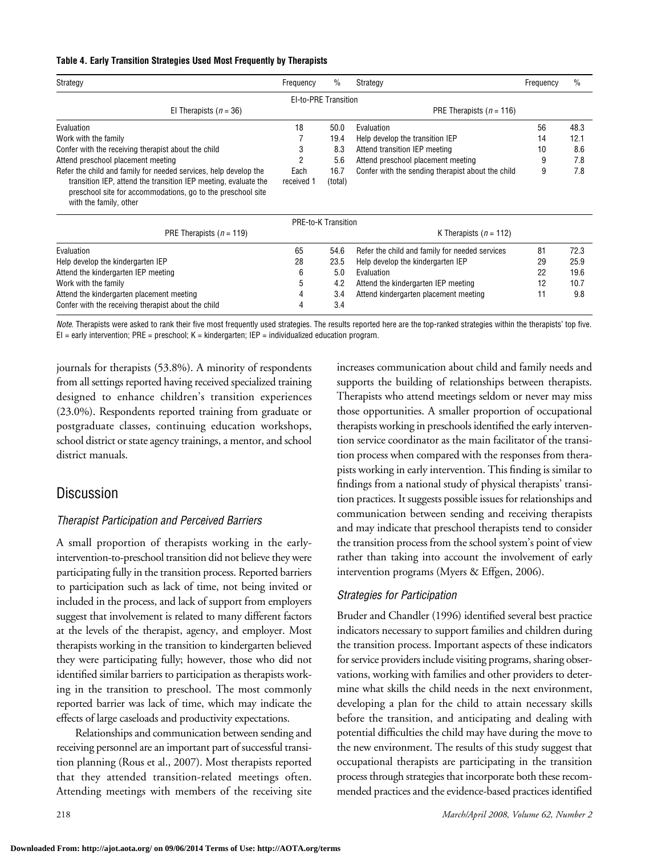#### **Table 4. Early Transition Strategies Used Most Frequently by Therapists**

| Strategy                                                                                                                                                                                                                     | Frequency            | $\%$            | Strategy                                          | Frequency | $\frac{0}{0}$ |
|------------------------------------------------------------------------------------------------------------------------------------------------------------------------------------------------------------------------------|----------------------|-----------------|---------------------------------------------------|-----------|---------------|
|                                                                                                                                                                                                                              | El-to-PRE Transition |                 |                                                   |           |               |
| El Therapists ( $n = 36$ )                                                                                                                                                                                                   |                      |                 | PRE Therapists ( $n = 116$ )                      |           |               |
| Evaluation                                                                                                                                                                                                                   | 18                   | 50.0            | Evaluation                                        | 56        | 48.3          |
| Work with the family                                                                                                                                                                                                         |                      | 19.4            | Help develop the transition IEP                   | 14        | 12.1          |
| Confer with the receiving therapist about the child                                                                                                                                                                          | 3                    | 8.3             | Attend transition IEP meeting                     | 10        | 8.6           |
| Attend preschool placement meeting                                                                                                                                                                                           | 2                    | 5.6             | Attend preschool placement meeting                | 9         | 7.8           |
| Refer the child and family for needed services, help develop the<br>transition IEP, attend the transition IEP meeting, evaluate the<br>preschool site for accommodations, go to the preschool site<br>with the family, other | Each<br>received 1   | 16.7<br>(total) | Confer with the sending therapist about the child | 9         | 7.8           |

|                                                     |    | PRE-to-K Transition |                                                |    |      |  |  |
|-----------------------------------------------------|----|---------------------|------------------------------------------------|----|------|--|--|
| PRE Therapists ( $n = 119$ )                        |    |                     | K Therapists ( $n = 112$ )                     |    |      |  |  |
| Evaluation                                          | 65 | 54.6                | Refer the child and family for needed services | 81 | 72.3 |  |  |
| Help develop the kindergarten IEP                   | 28 | 23.5                | Help develop the kindergarten IEP              | 29 | 25.9 |  |  |
| Attend the kindergarten IEP meeting                 | 6  | 5.0                 | <b>Fyaluation</b>                              | 22 | 19.6 |  |  |
| Work with the family                                | 5  | 4.2                 | Attend the kindergarten IEP meeting            | 12 | 10.7 |  |  |
| Attend the kindergarten placement meeting           | 4  | 3.4                 | Attend kindergarten placement meeting          | 11 | 9.8  |  |  |
| Confer with the receiving therapist about the child |    | 3.4                 |                                                |    |      |  |  |

*Note.* Therapists were asked to rank their five most frequently used strategies. The results reported here are the top-ranked strategies within the therapists' top five.  $EI =$  early intervention; PRE = preschool;  $K =$  kindergarten; IEP = individualized education program.

journals for therapists (53.8%). A minority of respondents from all settings reported having received specialized training designed to enhance children's transition experiences (23.0%). Respondents reported training from graduate or postgraduate classes, continuing education workshops, school district or state agency trainings, a mentor, and school district manuals.

### Discussion

#### *Therapist Participation and Perceived Barriers*

A small proportion of therapists working in the earlyintervention-to-preschool transition did not believe they were participating fully in the transition process. Reported barriers to participation such as lack of time, not being invited or included in the process, and lack of support from employers suggest that involvement is related to many different factors at the levels of the therapist, agency, and employer. Most therapists working in the transition to kindergarten believed they were participating fully; however, those who did not identified similar barriers to participation as therapists working in the transition to preschool. The most commonly reported barrier was lack of time, which may indicate the effects of large caseloads and productivity expectations.

Relationships and communication between sending and receiving personnel are an important part of successful transition planning (Rous et al., 2007). Most therapists reported that they attended transition-related meetings often. Attending meetings with members of the receiving site

increases communication about child and family needs and supports the building of relationships between therapists. Therapists who attend meetings seldom or never may miss those opportunities. A smaller proportion of occupational therapists working in preschools identified the early intervention service coordinator as the main facilitator of the transition process when compared with the responses from therapists working in early intervention. This finding is similar to findings from a national study of physical therapists' transition practices. It suggests possible issues for relationships and communication between sending and receiving therapists and may indicate that preschool therapists tend to consider the transition process from the school system's point of view rather than taking into account the involvement of early intervention programs (Myers & Effgen, 2006).

#### *Strategies for Participation*

Bruder and Chandler (1996) identified several best practice indicators necessary to support families and children during the transition process. Important aspects of these indicators for service providers include visiting programs, sharing observations, working with families and other providers to determine what skills the child needs in the next environment, developing a plan for the child to attain necessary skills before the transition, and anticipating and dealing with potential difficulties the child may have during the move to the new environment. The results of this study suggest that occupational therapists are participating in the transition process through strategies that incorporate both these recommended practices and the evidence-based practices identified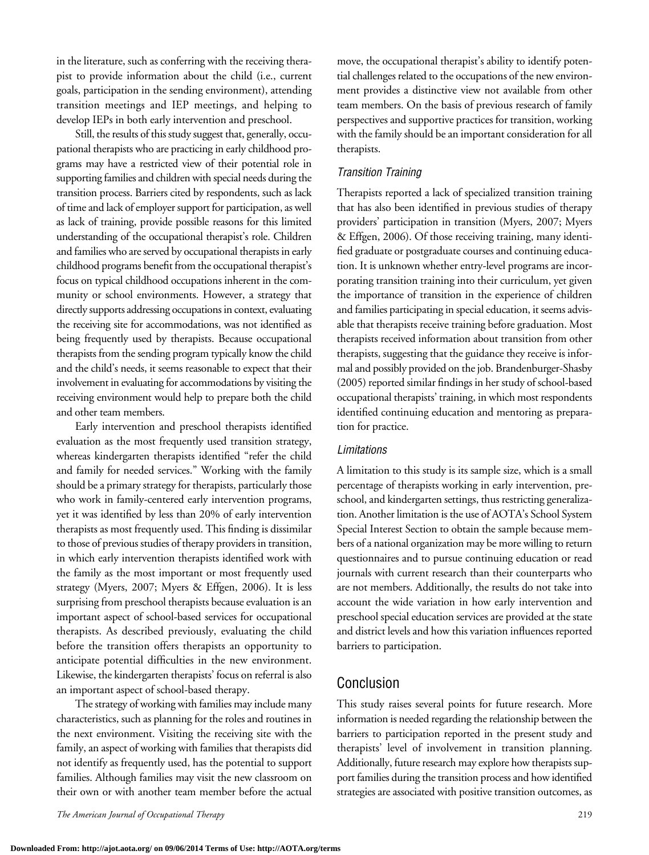in the literature, such as conferring with the receiving therapist to provide information about the child (i.e., current goals, participation in the sending environment), attending transition meetings and IEP meetings, and helping to develop IEPs in both early intervention and preschool.

Still, the results of this study suggest that, generally, occupational therapists who are practicing in early childhood programs may have a restricted view of their potential role in supporting families and children with special needs during the transition process. Barriers cited by respondents, such as lack of time and lack of employer support for participation, as well as lack of training, provide possible reasons for this limited understanding of the occupational therapist's role. Children and families who are served by occupational therapists in early childhood programs benefit from the occupational therapist's focus on typical childhood occupations inherent in the community or school environments. However, a strategy that directly supports addressing occupations in context, evaluating the receiving site for accommodations, was not identified as being frequently used by therapists. Because occupational therapists from the sending program typically know the child and the child's needs, it seems reasonable to expect that their involvement in evaluating for accommodations by visiting the receiving environment would help to prepare both the child and other team members.

Early intervention and preschool therapists identified evaluation as the most frequently used transition strategy, whereas kindergarten therapists identified "refer the child and family for needed services." Working with the family should be a primary strategy for therapists, particularly those who work in family-centered early intervention programs, yet it was identified by less than 20% of early intervention therapists as most frequently used. This finding is dissimilar to those of previous studies of therapy providers in transition, in which early intervention therapists identified work with the family as the most important or most frequently used strategy (Myers, 2007; Myers & Effgen, 2006). It is less surprising from preschool therapists because evaluation is an important aspect of school-based services for occupational therapists. As described previously, evaluating the child before the transition offers therapists an opportunity to anticipate potential difficulties in the new environment. Likewise, the kindergarten therapists' focus on referral is also an important aspect of school-based therapy.

The strategy of working with families may include many characteristics, such as planning for theroles and routines in the next environment. Visiting the receiving site with the family, an aspect of working with families that therapists did not identify as frequently used, has the potential to support families. Although families may visit the new classroom on their own or with another team member before the actual

*The American Journal of Occupational Therapy* 219

move, the occupational therapist's ability to identify potential challenges related to the occupations of the new environment provides a distinctive view not available from other team members. On the basis of previous research of family perspectives and supportive practices for transition, working with the family should be an important consideration for all therapists.

#### *Transition Training*

Therapists reported a lack of specialized transition training that has also been identified in previous studies of therapy providers' participation in transition (Myers, 2007; Myers & Effgen, 2006). Of those receiving training, many identified graduate or postgraduate courses and continuing education. It is unknown whether entry-level programs are incorporating transition training into their curriculum, yet given the importance of transition in the experience of children and families participating in special education, it seems advisable that therapists receive training before graduation. Most therapists received information about transition from other therapists, suggesting that the guidance they receive is informal and possibly provided on the job. Brandenburger-Shasby (2005) reported similar findings in her study of school-based occupational therapists' training, in which most respondents identified continuing education and mentoring as preparation for practice.

#### *Limitations*

A limitation to this study is its sample size, which is a small percentage of therapists working in early intervention, preschool, and kindergarten settings, thus restricting generalization. Another limitation is the use of AOTA's School System Special Interest Section to obtain the sample because members of a national organization may be more willing to return questionnaires and to pursue continuing education or read journals with current research than their counterparts who are not members. Additionally, the results do not take into account the wide variation in how early intervention and preschool special education services are provided at the state and district levels and how this variation influences reported barriers to participation.

### Conclusion

This study raises several points for future research. More information is needed regarding the relationship between the barriers to participation reported in the present study and therapists' level of involvement in transition planning. Additionally, future research may explore how therapists support families during the transition process and how identified strategies are associated with positive transition outcomes, as